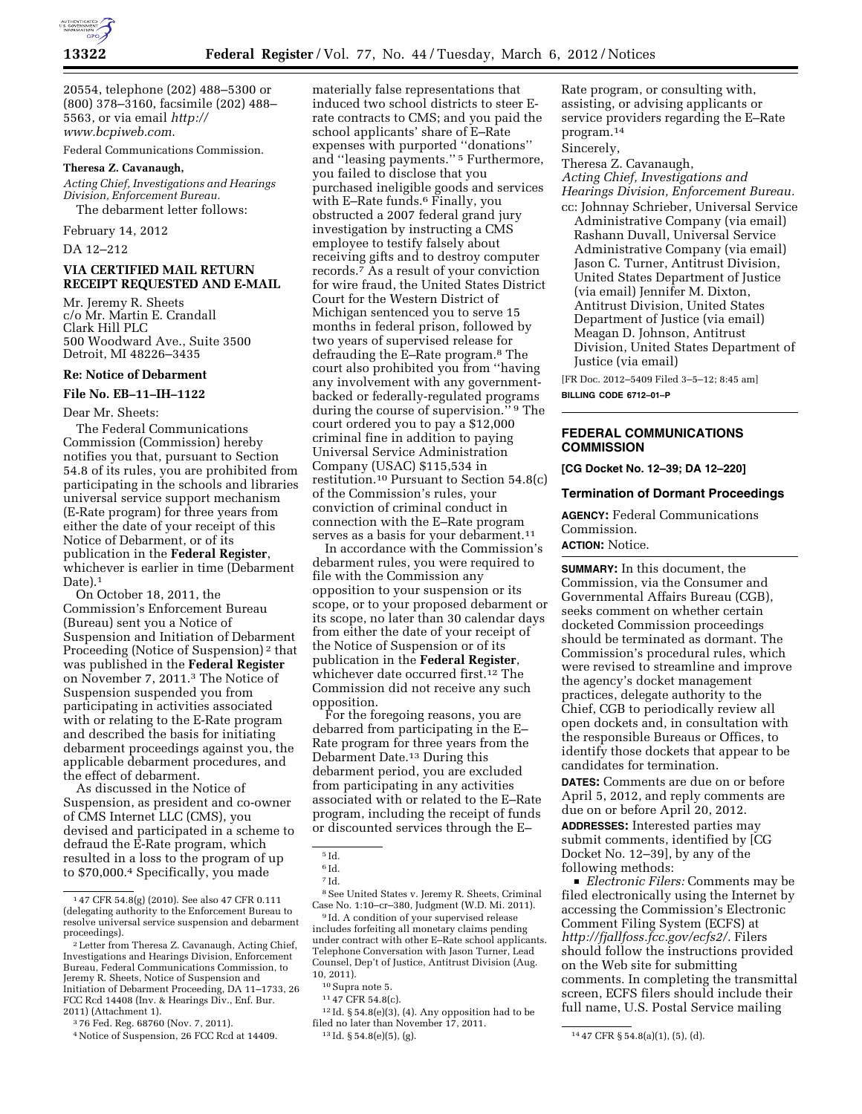

20554, telephone (202) 488–5300 or (800) 378–3160, facsimile (202) 488– 5563, or via email *http:// www.bcpiweb.com*.

Federal Communications Commission.

## **Theresa Z. Cavanaugh,**

*Acting Chief, Investigations and Hearings Division, Enforcement Bureau.*  The debarment letter follows:

February 14, 2012

DA 12–212

## **VIA CERTIFIED MAIL RETURN RECEIPT REQUESTED AND E-MAIL**

Mr. Jeremy R. Sheets c/o Mr. Martin E. Crandall Clark Hill PLC 500 Woodward Ave., Suite 3500 Detroit, MI 48226–3435

### **Re: Notice of Debarment**

### **File No. EB–11–IH–1122**

Dear Mr. Sheets:

The Federal Communications Commission (Commission) hereby notifies you that, pursuant to Section 54.8 of its rules, you are prohibited from participating in the schools and libraries universal service support mechanism (E-Rate program) for three years from either the date of your receipt of this Notice of Debarment, or of its publication in the **Federal Register**, whichever is earlier in time (Debarment Date).<sup>1</sup>

On October 18, 2011, the Commission's Enforcement Bureau (Bureau) sent you a Notice of Suspension and Initiation of Debarment Proceeding (Notice of Suspension) 2 that was published in the **Federal Register**  on November 7, 2011.3 The Notice of Suspension suspended you from participating in activities associated with or relating to the E-Rate program and described the basis for initiating debarment proceedings against you, the applicable debarment procedures, and the effect of debarment.

As discussed in the Notice of Suspension, as president and co-owner of CMS Internet LLC (CMS), you devised and participated in a scheme to defraud the E-Rate program, which resulted in a loss to the program of up to \$70,000.4 Specifically, you made

3 76 Fed. Reg. 68760 (Nov. 7, 2011).

materially false representations that induced two school districts to steer Erate contracts to CMS; and you paid the school applicants' share of E–Rate expenses with purported ''donations'' and ''leasing payments.'' 5 Furthermore, you failed to disclose that you purchased ineligible goods and services with E–Rate funds.6 Finally, you obstructed a 2007 federal grand jury investigation by instructing a CMS employee to testify falsely about receiving gifts and to destroy computer records.7 As a result of your conviction for wire fraud, the United States District Court for the Western District of Michigan sentenced you to serve 15 months in federal prison, followed by two years of supervised release for defrauding the E–Rate program.8 The court also prohibited you from ''having any involvement with any governmentbacked or federally-regulated programs during the course of supervision.'' 9 The court ordered you to pay a \$12,000 criminal fine in addition to paying Universal Service Administration Company (USAC) \$115,534 in restitution.10 Pursuant to Section 54.8(c) of the Commission's rules, your conviction of criminal conduct in connection with the E–Rate program serves as a basis for your debarment.<sup>11</sup>

In accordance with the Commission's debarment rules, you were required to file with the Commission any opposition to your suspension or its scope, or to your proposed debarment or its scope, no later than 30 calendar days from either the date of your receipt of the Notice of Suspension or of its publication in the **Federal Register**, whichever date occurred first.12 The Commission did not receive any such opposition.

For the foregoing reasons, you are debarred from participating in the E– Rate program for three years from the Debarment Date.13 During this debarment period, you are excluded from participating in any activities associated with or related to the E–Rate program, including the receipt of funds or discounted services through the E–

8See United States v. Jeremy R. Sheets, Criminal Case No. 1:10–cr–380, Judgment (W.D. Mi. 2011).

9 Id. A condition of your supervised release includes forfeiting all monetary claims pending under contract with other E–Rate school applicants. Telephone Conversation with Jason Turner, Lead Counsel, Dep't of Justice, Antitrust Division (Aug. 10, 2011).

 $^{12}\mathrm{Id.}$ § 54.8(e)(3), (4). Any opposition had to be filed no later than November 17, 2011.

Rate program, or consulting with, assisting, or advising applicants or service providers regarding the E–Rate program.14

Sincerely,

Theresa Z. Cavanaugh, *Acting Chief, Investigations and Hearings Division, Enforcement Bureau.*  cc: Johnnay Schrieber, Universal Service

Administrative Company (via email) Rashann Duvall, Universal Service Administrative Company (via email) Jason C. Turner, Antitrust Division, United States Department of Justice (via email) Jennifer M. Dixton, Antitrust Division, United States Department of Justice (via email) Meagan D. Johnson, Antitrust Division, United States Department of Justice (via email)

[FR Doc. 2012–5409 Filed 3–5–12; 8:45 am] **BILLING CODE 6712–01–P** 

# **FEDERAL COMMUNICATIONS COMMISSION**

**[CG Docket No. 12–39; DA 12–220]** 

#### **Termination of Dormant Proceedings**

**AGENCY:** Federal Communications Commission.

## **ACTION:** Notice.

**SUMMARY:** In this document, the Commission, via the Consumer and Governmental Affairs Bureau (CGB), seeks comment on whether certain docketed Commission proceedings should be terminated as dormant. The Commission's procedural rules, which were revised to streamline and improve the agency's docket management practices, delegate authority to the Chief, CGB to periodically review all open dockets and, in consultation with the responsible Bureaus or Offices, to identify those dockets that appear to be candidates for termination.

**DATES:** Comments are due on or before April 5, 2012, and reply comments are due on or before April 20, 2012. **ADDRESSES:** Interested parties may

submit comments, identified by [CG Docket No. 12–39], by any of the following methods:

D *Electronic Filers:* Comments may be filed electronically using the Internet by accessing the Commission's Electronic Comment Filing System (ECFS) at *http://fjallfoss.fcc.gov/ecfs2/.* Filers should follow the instructions provided on the Web site for submitting comments. In completing the transmittal screen, ECFS filers should include their full name, U.S. Postal Service mailing

<sup>1</sup> 47 CFR 54.8(g) (2010). See also 47 CFR 0.111 (delegating authority to the Enforcement Bureau to resolve universal service suspension and debarment

<sup>&</sup>lt;sup>2</sup> Letter from Theresa Z. Cavanaugh, Acting Chief, Investigations and Hearings Division, Enforcement Bureau, Federal Communications Commission, to Jeremy R. Sheets, Notice of Suspension and Initiation of Debarment Proceeding, DA 11–1733, 26 FCC Rcd 14408 (Inv. & Hearings Div., Enf. Bur. 2011) (Attachment 1).

<sup>4</sup>Notice of Suspension, 26 FCC Rcd at 14409.

 $^{\rm 5}$  Id.

<sup>6</sup> Id.

<sup>7</sup> Id.

<sup>10</sup>Supra note 5.

<sup>11</sup> 47 CFR 54.8(c).

<sup>13</sup> Id. § 54.8(e)(5), (g). 14 47 CFR § 54.8(a)(1), (5), (d).